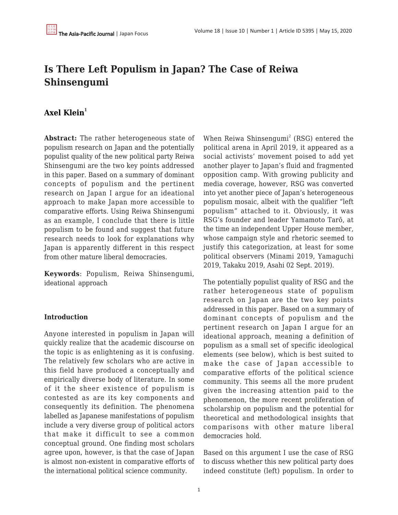# **Is There Left Populism in Japan? The Case of Reiwa Shinsengumi**

# **[Axel Klein](https://apjjf.org/authors/view/15019)<sup>1</sup>**

**Abstract:** The rather heterogeneous state of populism research on Japan and the potentially populist quality of the new political party Reiwa Shinsengumi are the two key points addressed in this paper. Based on a summary of dominant concepts of populism and the pertinent research on Japan I argue for an ideational approach to make Japan more accessible to comparative efforts. Using Reiwa Shinsengumi as an example, I conclude that there is little populism to be found and suggest that future research needs to look for explanations why Japan is apparently different in this respect from other mature liberal democracies.

**Keywords**: Populism, Reiwa Shinsengumi, ideational approach

#### **Introduction**

Anyone interested in populism in Japan will quickly realize that the academic discourse on the topic is as enlightening as it is confusing. The relatively few scholars who are active in this field have produced a conceptually and empirically diverse body of literature. In some of it the sheer existence of populism is contested as are its key components and consequently its definition. The phenomena labelled as Japanese manifestations of populism include a very diverse group of political actors that make it difficult to see a common conceptual ground. One finding most scholars agree upon, however, is that the case of Japan is almost non-existent in comparative efforts of the international political science community.

When Reiwa Shinsengumi $^2$  (RSG) entered the political arena in April 2019, it appeared as a social activists' movement poised to add yet another player to Japan's fluid and fragmented opposition camp. With growing publicity and media coverage, however, RSG was converted into yet another piece of Japan's heterogeneous populism mosaic, albeit with the qualifier "left populism" attached to it. Obviously, it was RSG's founder and leader Yamamoto Tarō, at the time an independent Upper House member, whose campaign style and rhetoric seemed to justify this categorization, at least for some political observers (Minami 2019, Yamaguchi 2019, Takaku 2019, Asahi 02 Sept. 2019).

The potentially populist quality of RSG and the rather heterogeneous state of populism research on Japan are the two key points addressed in this paper. Based on a summary of dominant concepts of populism and the pertinent research on Japan I argue for an ideational approach, meaning a definition of populism as a small set of specific ideological elements (see below), which is best suited to make the case of Japan accessible to comparative efforts of the political science community. This seems all the more prudent given the increasing attention paid to the phenomenon, the more recent proliferation of scholarship on populism and the potential for theoretical and methodological insights that comparisons with other mature liberal democracies hold.

Based on this argument I use the case of RSG to discuss whether this new political party does indeed constitute (left) populism. In order to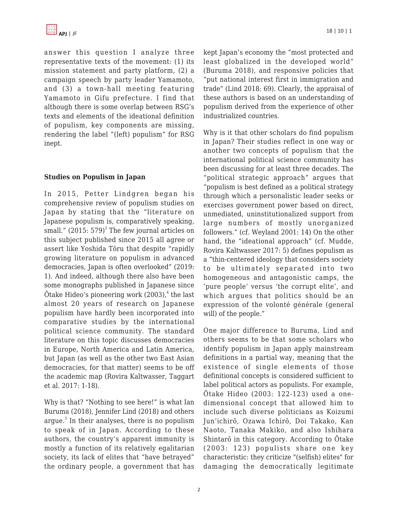answer this question I analyze three representative texts of the movement: (1) its mission statement and party platform, (2) a campaign speech by party leader Yamamoto, and (3) a town-hall meeting featuring Yamamoto in Gifu prefecture. I find that although there is some overlap between RSG's texts and elements of the ideational definition of populism, key components are missing, rendering the label "(left) populism" for RSG inept.

## **Studies on Populism in Japan**

In 2015, Petter Lindgren began his comprehensive review of populism studies on Japan by stating that the "literature on Japanese populism is, comparatively speaking, small."  $(2015:579)^3$  The few journal articles on this subject published since 2015 all agree or assert like Yoshida Tōru that despite "rapidly growing literature on populism in advanced democracies, Japan is often overlooked" (2019: 1). And indeed, although there also have been some monographs published in Japanese since  $\bar{O}$ take Hideo's pioneering work (2003), $^4$  the last almost 20 years of research on Japanese populism have hardly been incorporated into comparative studies by the international political science community. The standard literature on this topic discusses democracies in Europe, North America and Latin America, but Japan (as well as the other two East Asian democracies, for that matter) seems to be off the academic map (Rovira Kaltwasser, Taggart et al. 2017: 1-18).

Why is that? "Nothing to see here!" is what Ian Buruma (2018), Jennifer Lind (2018) and others argue.<sup>5</sup> In their analyses, there is no populism to speak of in Japan. According to these authors, the country's apparent immunity is mostly a function of its relatively egalitarian society, its lack of elites that "have betrayed" the ordinary people, a government that has kept Japan's economy the "most protected and least globalized in the developed world" (Buruma 2018), and responsive policies that "put national interest first in immigration and trade" (Lind 2018: 69). Clearly, the appraisal of these authors is based on an understanding of populism derived from the experience of other industrialized countries.

Why is it that other scholars do find populism in Japan? Their studies reflect in one way or another two concepts of populism that the international political science community has been discussing for at least three decades. The "political strategic approach" argues that "populism is best defined as a political strategy through which a personalistic leader seeks or exercises government power based on direct, unmediated, uninstitutionalized support from large numbers of mostly unorganized followers." (cf. Weyland 2001: 14) On the other hand, the "ideational approach" (cf. Mudde, Rovira Kaltwasser 2017: 5) defines populism as a "thin-centered ideology that considers society to be ultimately separated into two homogeneous and antagonistic camps, the 'pure people' versus 'the corrupt elite', and which argues that politics should be an expression of the volonté générale (general will) of the people."

One major difference to Buruma, Lind and others seems to be that some scholars who identify populism in Japan apply mainstream definitions in a partial way, meaning that the existence of single elements of those definitional concepts is considered sufficient to label political actors as populists. For example, Ōtake Hideo (2003: 122-123) used a onedimensional concept that allowed him to include such diverse politicians as Koizumi Jun'ichirō, Ozawa Ichirō, Doi Takako, Kan Naoto, Tanaka Makiko, and also Ishihara Shintarō in this category. According to Ōtake (2003: 123) populists share one key characteristic: they criticize "(selfish) elites" for damaging the democratically legitimate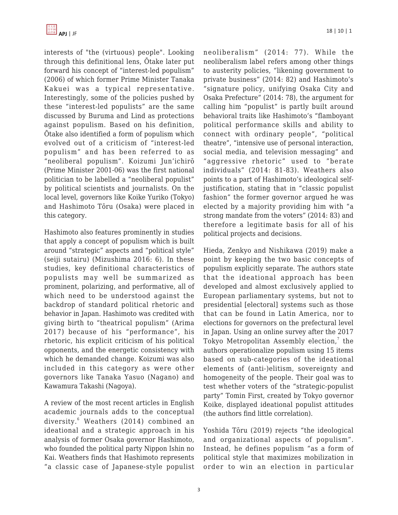interests of "the (virtuous) people". Looking through this definitional lens, Ōtake later put forward his concept of "interest-led populism" (2006) of which former Prime Minister Tanaka Kakuei was a typical representative. Interestingly, some of the policies pushed by these "interest-led populists" are the same discussed by Buruma and Lind as protections against populism. Based on his definition, Ōtake also identified a form of populism which evolved out of a criticism of "interest-led populism" and has been referred to as "neoliberal populism". Koizumi Jun'ichirō (Prime Minister 2001-06) was the first national politician to be labelled a "neoliberal populist" by political scientists and journalists. On the local level, governors like Koike Yuriko (Tokyo) and Hashimoto Tōru (Osaka) were placed in this category.

Hashimoto also features prominently in studies that apply a concept of populism which is built around "strategic" aspects and "political style" (seiji sutairu) (Mizushima 2016: 6). In these studies, key definitional characteristics of populists may well be summarized as prominent, polarizing, and performative, all of which need to be understood against the backdrop of standard political rhetoric and behavior in Japan. Hashimoto was credited with giving birth to "theatrical populism" (Arima 2017) because of his "performance", his rhetoric, his explicit criticism of his political opponents, and the energetic consistency with which he demanded change. Koizumi was also included in this category as were other governors like Tanaka Yasuo (Nagano) and Kawamura Takashi (Nagoya).

A review of the most recent articles in English academic journals adds to the conceptual diversity.<sup>6</sup> Weathers (2014) combined an ideational and a strategic approach in his analysis of former Osaka governor Hashimoto, who founded the political party Nippon Ishin no Kai. Weathers finds that Hashimoto represents "a classic case of Japanese-style populist neoliberalism" (2014: 77). While the neoliberalism label refers among other things to austerity policies, "likening government to private business" (2014: 82) and Hashimoto's "signature policy, unifying Osaka City and Osaka Prefecture" (2014: 78), the argument for calling him "populist" is partly built around behavioral traits like Hashimoto's "flamboyant political performance skills and ability to connect with ordinary people", "political theatre", "intensive use of personal interaction, social media, and television messaging" and "aggressive rhetoric" used to "berate individuals" (2014: 81-83). Weathers also points to a part of Hashimoto's ideological selfjustification, stating that in "classic populist fashion" the former governor argued he was elected by a majority providing him with "a strong mandate from the voters" (2014: 83) and therefore a legitimate basis for all of his political projects and decisions.

Hieda, Zenkyo and Nishikawa (2019) make a point by keeping the two basic concepts of populism explicitly separate. The authors state that the ideational approach has been developed and almost exclusively applied to European parliamentary systems, but not to presidential [electoral] systems such as those that can be found in Latin America, nor to elections for governors on the prefectural level in Japan. Using an online survey after the 2017 Tokyo Metropolitan Assembly election, $\mathrm{^{7}}$  the authors operationalize populism using 15 items based on sub-categories of the ideational elements of (anti-)elitism, sovereignty and homogeneity of the people. Their goal was to test whether voters of the "strategic-populist party" Tomin First, created by Tokyo governor Koike, displayed ideational populist attitudes (the authors find little correlation).

Yoshida Tōru (2019) rejects "the ideological and organizational aspects of populism". Instead, he defines populism "as a form of political style that maximizes mobilization in order to win an election in particular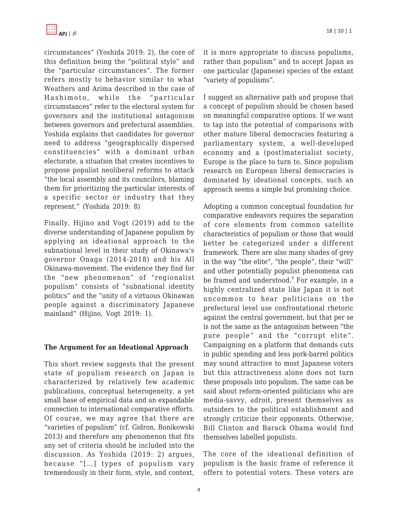

circumstances" (Yoshida 2019: 2), the core of this definition being the "political style" and the "particular circumstances". The former refers mostly to behavior similar to what Weathers and Arima described in the case of Hashimoto, while the "particular circumstances" refer to the electoral system for governors and the institutional antagonism between governors and prefectural assemblies. Yoshida explains that candidates for governor need to address "geographically dispersed constituencies" with a dominant urban electorate, a situation that creates incentives to propose populist neoliberal reforms to attack "the local assembly and its councilors, blaming them for prioritizing the particular interests of a specific sector or industry that they represent." (Yoshida 2019: 8)

Finally, Hijino and Vogt (2019) add to the diverse understanding of Japanese populism by applying an ideational approach to the subnational level in their study of Okinawa's governor Onaga (2014-2018) and his All Okinawa-movement. The evidence they find for the "new phenomenon" of "regionalist populism" consists of "subnational identity politics" and the "unity of a virtuous Okinawan people against a discriminatory Japanese mainland" (Hijino, Vogt 2019: 1).

#### **The Argument for an Ideational Approach**

This short review suggests that the present state of populism research on Japan is characterized by relatively few academic publications, conceptual heterogeneity, a yet small base of empirical data and an expandable connection to international comparative efforts. Of course, we may agree that there are "varieties of populism" (cf. Gidron, Bonikowski 2013) and therefore any phenomenon that fits any set of criteria should be included into the discussion. As Yoshida (2019: 2) argues, because "[…] types of populism vary tremendously in their form, style, and context, it is more appropriate to discuss populisms, rather than populism" and to accept Japan as one particular (Japanese) species of the extant "variety of populisms".

I suggest an alternative path and propose that a concept of populism should be chosen based on meaningful comparative options. If we want to tap into the potential of comparisons with other mature liberal democracies featuring a parliamentary system, a well-developed economy and a (post)materialist society, Europe is the place to turn to. Since populism research on European liberal democracies is dominated by ideational concepts, such an approach seems a simple but promising choice.

Adopting a common conceptual foundation for comparative endeavors requires the separation of core elements from common satellite characteristics of populism or those that would better be categorized under a different framework. There are also many shades of grey in the way "the elite", "the people", their "will" and other potentially populist phenomena can be framed and understood.<sup>8</sup> For example, in a highly centralized state like Japan it is not uncommon to hear politicians on the prefectural level use confrontational rhetoric against the central government, but that per se is not the same as the antagonism between "the pure people" and the "corrupt elite". Campaigning on a platform that demands cuts in public spending and less pork-barrel politics may sound attractive to most Japanese voters but this attractiveness alone does not turn these proposals into populism. The same can be said about reform-oriented politicians who are media-savvy, adroit, present themselves as outsiders to the political establishment and strongly criticize their opponents. Otherwise, Bill Clinton and Barack Obama would find themselves labelled populists.

The core of the ideational definition of populism is the basic frame of reference it offers to potential voters. These voters are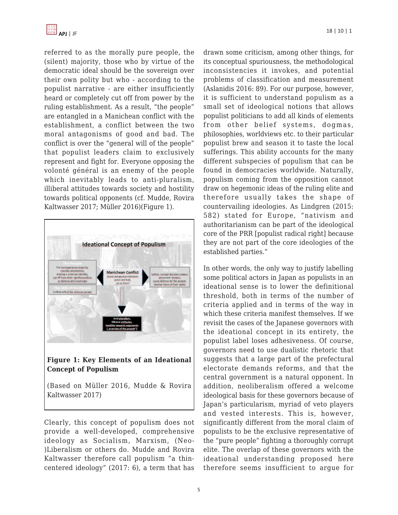

referred to as the morally pure people, the (silent) majority, those who by virtue of the democratic ideal should be the sovereign over their own polity but who - according to the populist narrative - are either insufficiently heard or completely cut off from power by the ruling establishment. As a result, "the people" are entangled in a Manichean conflict with the establishment, a conflict between the two moral antagonisms of good and bad. The conflict is over the "general will of the people" that populist leaders claim to exclusively represent and fight for. Everyone opposing the volonté général is an enemy of the people which inevitably leads to anti-pluralism, illiberal attitudes towards society and hostility towards political opponents (cf. Mudde, Rovira Kaltwasser 2017; Müller 2016)(Figure 1).





(Based on Müller 2016, Mudde & Rovira Kaltwasser 2017)

Clearly, this concept of populism does not provide a well-developed, comprehensive ideology as Socialism, Marxism, (Neo- )Liberalism or others do. Mudde and Rovira Kaltwasser therefore call populism "a thincentered ideology" (2017: 6), a term that has drawn some criticism, among other things, for its conceptual spuriousness, the methodological inconsistencies it invokes, and potential problems of classification and measurement (Aslanidis 2016: 89). For our purpose, however, it is sufficient to understand populism as a small set of ideological notions that allows populist politicians to add all kinds of elements from other belief systems, dogmas, philosophies, worldviews etc. to their particular populist brew and season it to taste the local sufferings. This ability accounts for the many different subspecies of populism that can be found in democracies worldwide. Naturally, populism coming from the opposition cannot draw on hegemonic ideas of the ruling elite and therefore usually takes the shape of countervailing ideologies. As Lindgren (2015: 582) stated for Europe, "nativism and authoritarianism can be part of the ideological core of the PRR [populist radical right] because they are not part of the core ideologies of the established parties."

In other words, the only way to justify labelling some political actors in Japan as populists in an ideational sense is to lower the definitional threshold, both in terms of the number of criteria applied and in terms of the way in which these criteria manifest themselves. If we revisit the cases of the Japanese governors with the ideational concept in its entirety, the populist label loses adhesiveness. Of course, governors need to use dualistic rhetoric that suggests that a large part of the prefectural electorate demands reforms, and that the central government is a natural opponent. In addition, neoliberalism offered a welcome ideological basis for these governors because of Japan's particularism, myriad of veto players and vested interests. This is, however, significantly different from the moral claim of populists to be the exclusive representative of the "pure people" fighting a thoroughly corrupt elite. The overlap of these governors with the ideational understanding proposed here therefore seems insufficient to argue for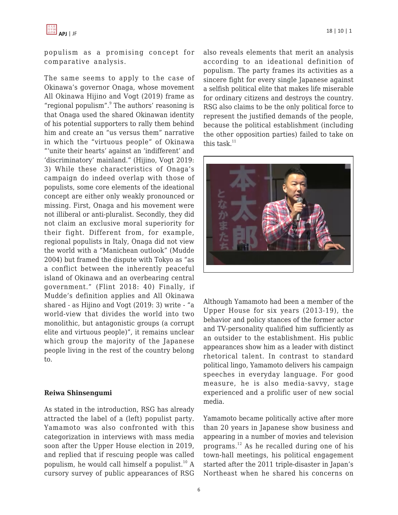populism as a promising concept for comparative analysis.

The same seems to apply to the case of Okinawa's governor Onaga, whose movement All Okinawa Hijino and Vogt (2019) frame as "regional populism". The authors' reasoning is that Onaga used the shared Okinawan identity of his potential supporters to rally them behind him and create an "us versus them" narrative in which the "virtuous people" of Okinawa "'unite their hearts' against an 'indifferent' and 'discriminatory' mainland." (Hijino, Vogt 2019: 3) While these characteristics of Onaga's campaign do indeed overlap with those of populists, some core elements of the ideational concept are either only weakly pronounced or missing. First, Onaga and his movement were not illiberal or anti-pluralist. Secondly, they did not claim an exclusive moral superiority for their fight. Different from, for example, regional populists in Italy, Onaga did not view the world with a "Manichean outlook" (Mudde 2004) but framed the dispute with Tokyo as "as a conflict between the inherently peaceful island of Okinawa and an overbearing central government." (Flint 2018: 40) Finally, if Mudde's definition applies and All Okinawa shared - as Hijino and Vogt (2019: 3) write - "a world-view that divides the world into two monolithic, but antagonistic groups (a corrupt elite and virtuous people)", it remains unclear which group the majority of the Japanese people living in the rest of the country belong to.

#### **Reiwa Shinsengumi**

As stated in the introduction, RSG has already attracted the label of a (left) populist party. Yamamoto was also confronted with this categorization in interviews with mass media soon after the Upper House election in 2019, and replied that if rescuing people was called populism, he would call himself a populist.<sup>10</sup> A cursory survey of public appearances of RSG also reveals elements that merit an analysis according to an ideational definition of populism. The party frames its activities as a sincere fight for every single Japanese against a selfish political elite that makes life miserable for ordinary citizens and destroys the country. RSG also claims to be the only political force to represent the justified demands of the people, because the political establishment (including the other opposition parties) failed to take on this task. $11$ 



Although Yamamoto had been a member of the Upper House for six years (2013-19), the behavior and policy stances of the former actor and TV-personality qualified him sufficiently as an outsider to the establishment. His public appearances show him as a leader with distinct rhetorical talent. In contrast to standard political lingo, Yamamoto delivers his campaign speeches in everyday language. For good measure, he is also media-savvy, stage experienced and a prolific user of new social media.

Yamamoto became politically active after more than 20 years in Japanese show business and appearing in a number of movies and television programs.<sup>12</sup> As he recalled during one of his town-hall meetings, his political engagement started after the 2011 triple-disaster in Japan's Northeast when he shared his concerns on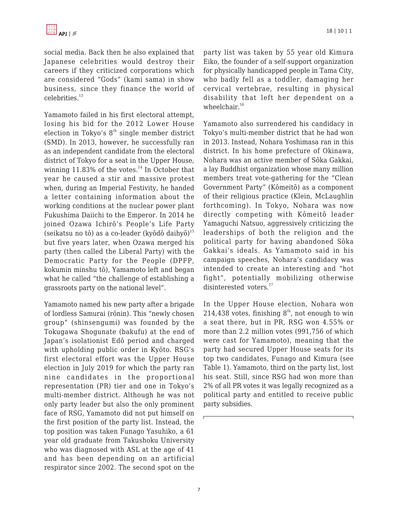social media. Back then he also explained that Japanese celebrities would destroy their careers if they criticized corporations which are considered "Gods" (kami sama) in show business, since they finance the world of celebrities.<sup>13</sup>

Yamamoto failed in his first electoral attempt, losing his bid for the 2012 Lower House election in Tokyo's  $8<sup>th</sup>$  single member district (SMD). In 2013, however, he successfully ran as an independent candidate from the electoral district of Tokyo for a seat in the Upper House, winning 11.83% of the votes. $^{14}$  In October that year he caused a stir and massive protest when, during an Imperial Festivity, he handed a letter containing information about the working conditions at the nuclear power plant Fukushima Daiichi to the Emperor. In 2014 he joined Ozawa Ichirō's People's Life Party (seikatsu no tō) as a co-leader (kyōdō daihyō) $^{15}$ but five years later, when Ozawa merged his party (then called the Liberal Party) with the Democratic Party for the People (DPFP, kokumin minshu tō), Yamamoto left and began what he called "the challenge of establishing a grassroots party on the national level".

Yamamoto named his new party after a brigade of lordless Samurai (rōnin). This "newly chosen group" (shinsengumi) was founded by the Tokugawa Shogunate (bakufu) at the end of Japan's isolationist Edō period and charged with upholding public order in Kyōto. RSG's first electoral effort was the Upper House election in July 2019 for which the party ran nine candidates in the proportional representation (PR) tier and one in Tokyo's multi-member district. Although he was not only party leader but also the only prominent face of RSG, Yamamoto did not put himself on the first position of the party list. Instead, the top position was taken Funago Yasuhiko, a 61 year old graduate from Takushoku University who was diagnosed with ASL at the age of 41 and has been depending on an artificial respirator since 2002. The second spot on the party list was taken by 55 year old Kimura Eiko, the founder of a self-support organization for physically handicapped people in Tama City, who badly fell as a toddler, damaging her cervical vertebrae, resulting in physical disability that left her dependent on a wheelchair. $16$ 

Yamamoto also surrendered his candidacy in Tokyo's multi-member district that he had won in 2013. Instead, Nohara Yoshimasa ran in this district. In his home prefecture of Okinawa, Nohara was an active member of Sōka Gakkai, a lay Buddhist organization whose many million members treat vote-gathering for the "Clean Government Party" (Kōmeitō) as a component of their religious practice (Klein, McLaughlin forthcoming). In Tokyo, Nohara was now directly competing with Kōmeitō leader Yamaguchi Natsuo, aggressively criticizing the leaderships of both the religion and the political party for having abandoned Sōka Gakkai's ideals. As Yamamoto said in his campaign speeches, Nohara's candidacy was intended to create an interesting and "hot fight", potentially mobilizing otherwise disinterested voters.<sup>17</sup>

In the Upper House election, Nohara won 214,438 votes, finishing  $8<sup>th</sup>$ , not enough to win a seat there, but in PR, RSG won 4.55% or more than 2.2 million votes (991,756 of which were cast for Yamamoto), meaning that the party had secured Upper House seats for its top two candidates, Funago and Kimura (see Table 1). Yamamoto, third on the party list, lost his seat. Still, since RSG had won more than 2% of all PR votes it was legally recognized as a political party and entitled to receive public party subsidies.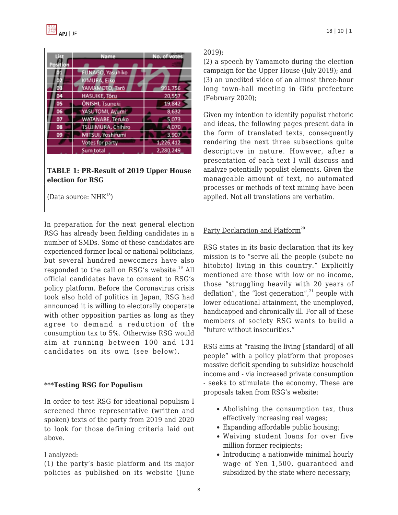| <b>Tist</b><br>Position | Name                      | No. of votes |
|-------------------------|---------------------------|--------------|
|                         | FUNAGO, Yasuhiko          |              |
| O                       | KIMURA, Eiko              |              |
| 03                      | YAMAMOTO, Tarô            | 991,756      |
| 04                      | <b>HASUIKE, Tôru</b>      | 20,557       |
| 05                      | ÔNISHI, Tsuneki           | 19,842       |
| 06                      | YASUTOMI, Ayumi           | 8,632        |
| 07                      | <b>WATANABE, Teruko</b>   | 5,073        |
| 08                      | <b>TSUJIMURA, Chihiro</b> | 4,070        |
| 09                      | MITSUI, Yoshifumi         | 3,907        |
|                         | Votes for party           | 1,226,412    |
|                         | Sum total                 | 2,280,249    |

#### **TABLE 1: PR-Result of 2019 Upper House election for RSG**

(Data source:  $NHK^{18}$ )

In preparation for the next general election RSG has already been fielding candidates in a number of SMDs. Some of these candidates are experienced former local or national politicians, but several hundred newcomers have also responded to the call on RSG's website.<sup>19</sup> All official candidates have to consent to RSG's policy platform. Before the Coronavirus crisis took also hold of politics in Japan, RSG had announced it is willing to electorally cooperate with other opposition parties as long as they agree to demand a reduction of the consumption tax to 5%. Otherwise RSG would aim at running between 100 and 131 candidates on its own (see below).

#### **\*\*\*Testing RSG for Populism**

In order to test RSG for ideational populism I screened three representative (written and spoken) texts of the party from 2019 and 2020 to look for those defining criteria laid out above.

#### I analyzed:

(1) the party's basic platform and its major policies as published on its website (June

### 2019);

(2) a speech by Yamamoto during the election campaign for the Upper House (July 2019); and (3) an unedited video of an almost three-hour long town-hall meeting in Gifu prefecture (February 2020);

Given my intention to identify populist rhetoric and ideas, the following pages present data in the form of translated texts, consequently rendering the next three subsections quite descriptive in nature. However, after a presentation of each text I will discuss and analyze potentially populist elements. Given the manageable amount of text, no automated processes or methods of text mining have been applied. Not all translations are verbatim.

# Party Declaration and Platform<sup>20</sup>

RSG states in its basic declaration that its key mission is to "serve all the people (subete no hitobito) living in this country." Explicitly mentioned are those with low or no income, those "struggling heavily with 20 years of deflation", the "lost generation", $21$  people with lower educational attainment, the unemployed, handicapped and chronically ill. For all of these members of society RSG wants to build a "future without insecurities."

RSG aims at "raising the living [standard] of all people" with a policy platform that proposes massive deficit spending to subsidize household income and - via increased private consumption - seeks to stimulate the economy. These are proposals taken from RSG's website:

- Abolishing the consumption tax, thus effectively increasing real wages;
- Expanding affordable public housing;
- Waiving student loans for over five million former recipients;
- Introducing a nationwide minimal hourly wage of Yen 1,500, guaranteed and subsidized by the state where necessary;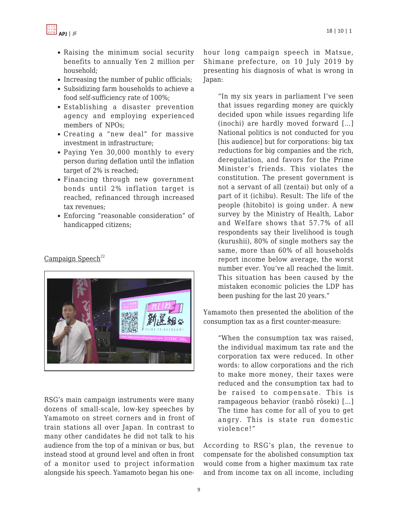

- Raising the minimum social security benefits to annually Yen 2 million per household;
- Increasing the number of public officials;
- Subsidizing farm households to achieve a food self-sufficiency rate of 100%;
- Establishing a disaster prevention agency and employing experienced members of NPOs;
- Creating a "new deal" for massive investment in infrastructure;
- Paying Yen 30,000 monthly to every person during deflation until the inflation target of 2% is reached;
- Financing through new government bonds until 2% inflation target is reached, refinanced through increased tax revenues;
- Enforcing "reasonable consideration" of handicapped citizens;

#### Campaign Speech $^{22}$



RSG's main campaign instruments were many dozens of small-scale, low-key speeches by Yamamoto on street corners and in front of train stations all over Japan. In contrast to many other candidates he did not talk to his audience from the top of a minivan or bus, but instead stood at ground level and often in front of a monitor used to project information alongside his speech. Yamamoto began his one-

hour long campaign speech in Matsue, Shimane prefecture, on 10 July 2019 by presenting his diagnosis of what is wrong in Japan:

"In my six years in parliament I've seen that issues regarding money are quickly decided upon while issues regarding life (inochi) are hardly moved forward […] National politics is not conducted for you [his audience] but for corporations: big tax reductions for big companies and the rich, deregulation, and favors for the Prime Minister's friends. This violates the constitution. The present government is not a servant of all (zentai) but only of a part of it (ichibu). Result: The life of the people (hitobito) is going under. A new survey by the Ministry of Health, Labor and Welfare shows that 57.7% of all respondents say their livelihood is tough (kurushii), 80% of single mothers say the same, more than 60% of all households report income below average, the worst number ever. You've all reached the limit. This situation has been caused by the mistaken economic policies the LDP has been pushing for the last 20 years."

Yamamoto then presented the abolition of the consumption tax as a first counter-measure:

"When the consumption tax was raised, the individual maximum tax rate and the corporation tax were reduced. In other words: to allow corporations and the rich to make more money, their taxes were reduced and the consumption tax had to be raised to compensate. This is rampageous behavior (ranbō rōseki) […] The time has come for all of you to get angry. This is state run domestic violence!"

According to RSG's plan, the revenue to compensate for the abolished consumption tax would come from a higher maximum tax rate and from income tax on all income, including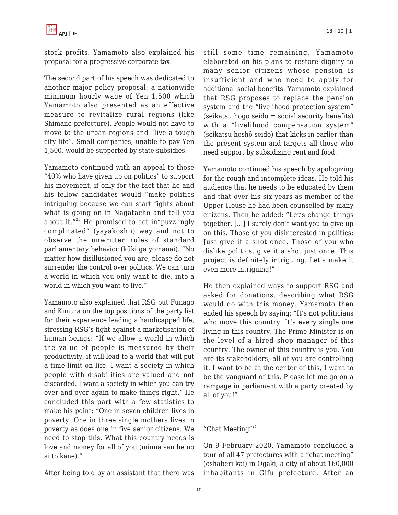

stock profits. Yamamoto also explained his proposal for a progressive corporate tax.

The second part of his speech was dedicated to another major policy proposal: a nationwide minimum hourly wage of Yen 1,500 which Yamamoto also presented as an effective measure to revitalize rural regions (like Shimane prefecture). People would not have to move to the urban regions and "live a tough city life". Small companies, unable to pay Yen 1,500, would be supported by state subsidies.

Yamamoto continued with an appeal to those "40% who have given up on politics" to support his movement, if only for the fact that he and his fellow candidates would "make politics intriguing because we can start fights about what is going on in Nagatachō and tell you about it." $^{23}$  He promised to act in"puzzlingly complicated" (yayakoshii) way and not to observe the unwritten rules of standard parliamentary behavior (kūki ga yomanai). "No matter how disillusioned you are, please do not surrender the control over politics. We can turn a world in which you only want to die, into a world in which you want to live."

Yamamoto also explained that RSG put Funago and Kimura on the top positions of the party list for their experience leading a handicapped life, stressing RSG's fight against a marketisation of human beings: "If we allow a world in which the value of people is measured by their productivity, it will lead to a world that will put a time-limit on life. I want a society in which people with disabilities are valued and not discarded. I want a society in which you can try over and over again to make things right." He concluded this part with a few statistics to make his point: "One in seven children lives in poverty. One in three single mothers lives in poverty as does one in five senior citizens. We need to stop this. What this country needs is love and money for all of you (minna san he no ai to kane)."

After being told by an assistant that there was

still some time remaining, Yamamoto elaborated on his plans to restore dignity to many senior citizens whose pension is insufficient and who need to apply for additional social benefits. Yamamoto explained that RSG proposes to replace the pension system and the "livelihood protection system" (seikatsu hogo seido = social security benefits) with a "livelihood compensation system" (seikatsu hoshō seido) that kicks in earlier than the present system and targets all those who need support by subsidizing rent and food.

Yamamoto continued his speech by apologizing for the rough and incomplete ideas. He told his audience that he needs to be educated by them and that over his six years as member of the Upper House he had been counselled by many citizens. Then he added: "Let's change things together. […] I surely don't want you to give up on this. Those of you disinterested in politics: Just give it a shot once. Those of you who dislike politics, give it a shot just once. This project is definitely intriguing. Let's make it even more intriguing!"

He then explained ways to support RSG and asked for donations, describing what RSG would do with this money. Yamamoto then ended his speech by saying: "It's not politicians who move this country. It's every single one living in this country. The Prime Minister is on the level of a hired shop manager of this country. The owner of this country is you. You are its stakeholders; all of you are controlling it. I want to be at the center of this, I want to be the vanguard of this. Please let me go on a rampage in parliament with a party created by all of you!"

#### "Chat Meeting"<sup>24</sup>

On 9 February 2020, Yamamoto concluded a tour of all 47 prefectures with a "chat meeting" (oshaberi kai) in Ōgaki, a city of about 160,000 inhabitants in Gifu prefecture. After an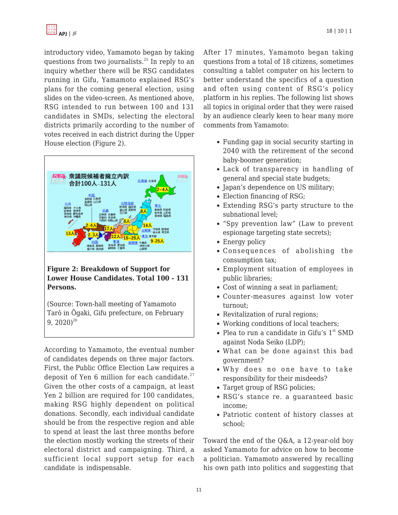introductory video, Yamamoto began by taking questions from two journalists.<sup>25</sup> In reply to an inquiry whether there will be RSG candidates running in Gifu, Yamamoto explained RSG's plans for the coming general election, using slides on the video-screen. As mentioned above, RSG intended to run between 100 and 131 candidates in SMDs, selecting the electoral districts primarily according to the number of votes received in each district during the Upper House election (Figure 2).



#### **Figure 2: Breakdown of Support for Lower House Candidates. Total 100 - 131 Persons.**

(Source: Town-hall meeting of Yamamoto Tarō in Ōgaki, Gifu prefecture, on February 9,  $2020)^{26}$ 

According to Yamamoto, the eventual number of candidates depends on three major factors. First, the Public Office Election Law requires a deposit of Yen 6 million for each candidate. $27$ Given the other costs of a campaign, at least Yen 2 billion are required for 100 candidates, making RSG highly dependent on political donations. Secondly, each individual candidate should be from the respective region and able to spend at least the last three months before the election mostly working the streets of their electoral district and campaigning. Third, a sufficient local support setup for each candidate is indispensable.

After 17 minutes, Yamamoto began taking questions from a total of 18 citizens, sometimes consulting a tablet computer on his lectern to better understand the specifics of a question and often using content of RSG's policy platform in his replies. The following list shows all topics in original order that they were raised by an audience clearly keen to hear many more comments from Yamamoto:

- Funding gap in social security starting in 2040 with the retirement of the second baby-boomer generation;
- Lack of transparency in handling of general and special state budgets;
- Japan's dependence on US military;
- Election financing of RSG;
- Extending RSG's party structure to the subnational level;
- "Spy prevention law" (Law to prevent espionage targeting state secrets);
- Energy policy
- Consequences of abolishing the consumption tax;
- Employment situation of employees in public libraries;
- Cost of winning a seat in parliament;
- Counter-measures against low voter turnout;
- Revitalization of rural regions;
- Working conditions of local teachers;
- Plea to run a candidate in Gifu's  $1<sup>st</sup>$  SMD against Noda Seiko (LDP);
- What can be done against this bad government?
- Why does no one have to take responsibility for their misdeeds?
- Target group of RSG policies;
- RSG's stance re. a guaranteed basic income;
- Patriotic content of history classes at school;

Toward the end of the Q&A, a 12-year-old boy asked Yamamoto for advice on how to become a politician. Yamamoto answered by recalling his own path into politics and suggesting that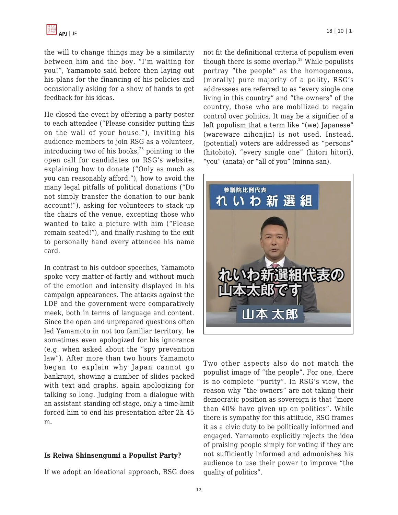the will to change things may be a similarity between him and the boy. "I'm waiting for you!", Yamamoto said before then laying out his plans for the financing of his policies and occasionally asking for a show of hands to get feedback for his ideas.

He closed the event by offering a party poster to each attendee ("Please consider putting this on the wall of your house."), inviting his audience members to join RSG as a volunteer, introducing two of his books, $28$  pointing to the open call for candidates on RSG's website, explaining how to donate ("Only as much as you can reasonably afford."), how to avoid the many legal pitfalls of political donations ("Do not simply transfer the donation to our bank account!"), asking for volunteers to stack up the chairs of the venue, excepting those who wanted to take a picture with him ("Please remain seated!"), and finally rushing to the exit to personally hand every attendee his name card.

In contrast to his outdoor speeches, Yamamoto spoke very matter-of-factly and without much of the emotion and intensity displayed in his campaign appearances. The attacks against the LDP and the government were comparatively meek, both in terms of language and content. Since the open and unprepared questions often led Yamamoto in not too familiar territory, he sometimes even apologized for his ignorance (e.g. when asked about the "spy prevention law"). After more than two hours Yamamoto began to explain why Japan cannot go bankrupt, showing a number of slides packed with text and graphs, again apologizing for talking so long. Judging from a dialogue with an assistant standing off-stage, only a time-limit forced him to end his presentation after 2h 45 m.

#### **Is Reiwa Shinsengumi a Populist Party?**

If we adopt an ideational approach, RSG does

not fit the definitional criteria of populism even though there is some overlap. $29$  While populists portray "the people" as the homogeneous, (morally) pure majority of a polity, RSG's addressees are referred to as "every single one living in this country" and "the owners" of the country, those who are mobilized to regain control over politics. It may be a signifier of a left populism that a term like "(we) Japanese" (wareware nihonjin) is not used. Instead, (potential) voters are addressed as "persons" (hitobito), "every single one" (hitori hitori), "you" (anata) or "all of you" (minna san).



Two other aspects also do not match the populist image of "the people". For one, there is no complete "purity". In RSG's view, the reason why "the owners" are not taking their democratic position as sovereign is that "more than 40% have given up on politics". While there is sympathy for this attitude, RSG frames it as a civic duty to be politically informed and engaged. Yamamoto explicitly rejects the idea of praising people simply for voting if they are not sufficiently informed and admonishes his audience to use their power to improve "the quality of politics".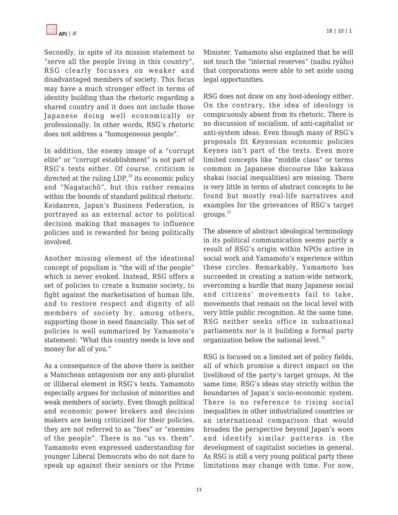

Secondly, in spite of its mission statement to "serve all the people living in this country", RSG clearly focusses on weaker and disadvantaged members of society. This focus may have a much stronger effect in terms of identity building than the rhetoric regarding a shared country and it does not include those Japanese doing well economically or professionally. In other words, RSG's rhetoric does not address a "homogeneous people".

In addition, the enemy image of a "corrupt elite" or "corrupt establishment" is not part of RSG's texts either. Of course, criticism is directed at the ruling  $LDP<sub>i</sub><sup>30</sup>$  its economic policy and "Nagatachō", but this rather remains within the bounds of standard political rhetoric. Keidanren, Japan's Business Federation, is portrayed as an external actor to political decision making that manages to influence policies and is rewarded for being politically involved.

Another missing element of the ideational concept of populism is "the will of the people" which is never evoked. Instead, RSG offers a set of policies to create a humane society, to fight against the marketisation of human life, and to restore respect and dignity of all members of society by, among others, supporting those in need financially. This set of policies is well summarized by Yamamoto's statement: "What this country needs is love and money for all of you."

As a consequence of the above there is neither a Manichean antagonism nor any anti-pluralist or illiberal element in RSG's texts. Yamamoto especially argues for inclusion of minorities and weak members of society. Even though political and economic power brokers and decision makers are being criticized for their policies, they are not referred to as "foes" or "enemies of the people". There is no "us vs. them". Yamamoto even expressed understanding for younger Liberal Democrats who do not dare to speak up against their seniors or the Prime

Minister. Yamamoto also explained that he will not touch the "internal reserves" (naibu ryūho) that corporations were able to set aside using legal opportunities.

RSG does not draw on any host-ideology either. On the contrary, the idea of ideology is conspicuously absent from its rhetoric. There is no discussion of socialism, of anti-capitalist or anti-system ideas. Even though many of RSG's proposals fit Keynesian economic policies Keynes isn't part of the texts. Even more limited concepts like "middle class" or terms common in Japanese discourse like kakusa shakai (social inequalities) are missing. There is very little in terms of abstract concepts to be found but mostly real-life narratives and examples for the grievances of RSG's target groups.<sup>31</sup>

The absence of abstract ideological terminology in its political communication seems partly a result of RSG's origin within NPOs active in social work and Yamamoto's experience within these circles. Remarkably, Yamamoto has succeeded in creating a nation-wide network, overcoming a hurdle that many Japanese social and citizens' movements fail to take, movements that remain on the local level with very little public recognition. At the same time, RSG neither seeks office in subnational parliaments nor is it building a formal party organization below the national level.<sup>32</sup>

RSG is focused on a limited set of policy fields, all of which promise a direct impact on the livelihood of the party's target groups. At the same time, RSG's ideas stay strictly within the boundaries of Japan's socio-economic system. There is no reference to rising social inequalities in other industrialized countries or an international comparison that would broaden the perspective beyond Japan's woes and identify similar patterns in the development of capitalist societies in general. As RSG is still a very young political party these limitations may change with time. For now,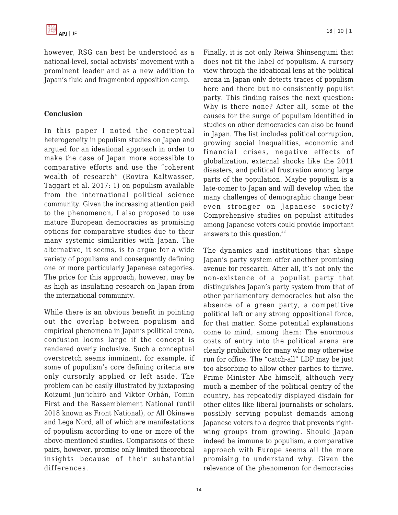however, RSG can best be understood as a national-level, social activists' movement with a prominent leader and as a new addition to Japan's fluid and fragmented opposition camp.

#### **Conclusion**

In this paper I noted the conceptual heterogeneity in populism studies on Japan and argued for an ideational approach in order to make the case of Japan more accessible to comparative efforts and use the "coherent wealth of research" (Rovira Kaltwasser, Taggart et al. 2017: 1) on populism available from the international political science community. Given the increasing attention paid to the phenomenon, I also proposed to use mature European democracies as promising options for comparative studies due to their many systemic similarities with Japan. The alternative, it seems, is to argue for a wide variety of populisms and consequently defining one or more particularly Japanese categories. The price for this approach, however, may be as high as insulating research on Japan from the international community.

While there is an obvious benefit in pointing out the overlap between populism and empirical phenomena in Japan's political arena, confusion looms large if the concept is rendered overly inclusive. Such a conceptual overstretch seems imminent, for example, if some of populism's core defining criteria are only cursorily applied or left aside. The problem can be easily illustrated by juxtaposing Koizumi Jun'ichirō and Viktor Orbán, Tomin First and the Rassemblement National (until 2018 known as Front National), or All Okinawa and Lega Nord, all of which are manifestations of populism according to one or more of the above-mentioned studies. Comparisons of these pairs, however, promise only limited theoretical insights because of their substantial differences.

Finally, it is not only Reiwa Shinsengumi that does not fit the label of populism. A cursory view through the ideational lens at the political arena in Japan only detects traces of populism here and there but no consistently populist party. This finding raises the next question: Why is there none? After all, some of the causes for the surge of populism identified in studies on other democracies can also be found in Japan. The list includes political corruption, growing social inequalities, economic and financial crises, negative effects of globalization, external shocks like the 2011 disasters, and political frustration among large parts of the population. Maybe populism is a late-comer to Japan and will develop when the many challenges of demographic change bear even stronger on Japanese society? Comprehensive studies on populist attitudes among Japanese voters could provide important answers to this question.<sup>33</sup>

The dynamics and institutions that shape Japan's party system offer another promising avenue for research. After all, it's not only the non-existence of a populist party that distinguishes Japan's party system from that of other parliamentary democracies but also the absence of a green party, a competitive political left or any strong oppositional force, for that matter. Some potential explanations come to mind, among them: The enormous costs of entry into the political arena are clearly prohibitive for many who may otherwise run for office. The "catch-all" LDP may be just too absorbing to allow other parties to thrive. Prime Minister Abe himself, although very much a member of the political gentry of the country, has repeatedly displayed disdain for other elites like liberal journalists or scholars, possibly serving populist demands among Japanese voters to a degree that prevents rightwing groups from growing. Should Japan indeed be immune to populism, a comparative approach with Europe seems all the more promising to understand why. Given the relevance of the phenomenon for democracies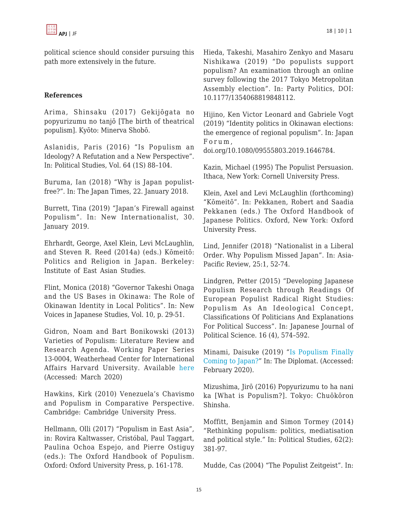political science should consider pursuing this path more extensively in the future.

#### **References**

Arima, Shinsaku (2017) Gekijōgata no popyurizumu no tanjō [The birth of theatrical populism]. Kyōto: Minerva Shobō.

Aslanidis, Paris (2016) "Is Populism an Ideology? A Refutation and a New Perspective". In: Political Studies, Vol. 64 (1S) 88–104.

Buruma, Ian (2018) "Why is Japan populistfree?". In: The Japan Times, 22. January 2018.

Burrett, Tina (2019) "Japan's Firewall against Populism". In: New Internationalist, 30. January 2019.

Ehrhardt, George, Axel Klein, Levi McLaughlin, and Steven R. Reed (2014a) (eds.) Kōmeitō: Politics and Religion in Japan. Berkeley: Institute of East Asian Studies.

Flint, Monica (2018) "Governor Takeshi Onaga and the US Bases in Okinawa: The Role of Okinawan Identity in Local Politics". In: New Voices in Japanese Studies, Vol. 10, p. 29-51.

Gidron, Noam and Bart Bonikowski (2013) Varieties of Populism: Literature Review and Research Agenda. Working Paper Series 13-0004, Weatherhead Center for International Affairs Harvard University. Available [here](https://scholar.harvard.edu/gidron/publications/varieties-populism-literature-review-and-research-agenda) (Accessed: March 2020)

Hawkins, Kirk (2010) Venezuela's Chavismo and Populism in Comparative Perspective. Cambridge: Cambridge University Press.

Hellmann, Olli (2017) "Populism in East Asia", in: Rovira Kaltwasser, Cristóbal, Paul Taggart, Paulina Ochoa Espejo, and Pierre Ostiguy (eds.): The Oxford Handbook of Populism. Oxford: Oxford University Press, p. 161-178.

Hieda, Takeshi, Masahiro Zenkyo and Masaru Nishikawa (2019) "Do populists support populism? An examination through an online survey following the 2017 Tokyo Metropolitan Assembly election". In: Party Politics, DOI: 10.1177/1354068819848112.

Hijino, Ken Victor Leonard and Gabriele Vogt (2019) "Identity politics in Okinawan elections: the emergence of regional populism". In: Japan Forum ,

doi.org/10.1080/09555803.2019.1646784.

Kazin, Michael (1995) The Populist Persuasion. Ithaca, New York: Cornell University Press.

Klein, Axel and Levi McLaughlin (forthcoming) "Kōmeitō". In: Pekkanen, Robert and Saadia Pekkanen (eds.) The Oxford Handbook of Japanese Politics. Oxford, New York: Oxford University Press.

Lind, Jennifer (2018) "Nationalist in a Liberal Order. Why Populism Missed Japan". In: Asia-Pacific Review, 25:1, 52-74.

Lindgren, Petter (2015) "Developing Japanese Populism Research through Readings Of European Populist Radical Right Studies: Populism As An Ideological Concept, Classifications Of Politicians And Explanations For Political Success". In: Japanese Journal of Political Science. 16 (4), 574–592.

Minami, Daisuke (2019) "[Is Populism Finally](https://thediplomat.com/2019/07/is-populism-finally-coming-to-japan/) [Coming to Japan?"](https://thediplomat.com/2019/07/is-populism-finally-coming-to-japan/) In: The Diplomat. (Accessed: February 2020).

Mizushima, Jirō (2016) Popyurizumu to ha nani ka [What is Populism?]. Tokyo: Chuōkōron Shinsha.

Moffitt, Benjamin and Simon Tormey (2014) "Rethinking populism: politics, mediatisation and political style." In: Political Studies, 62(2): 381-97.

Mudde, Cas (2004) "The Populist Zeitgeist". In: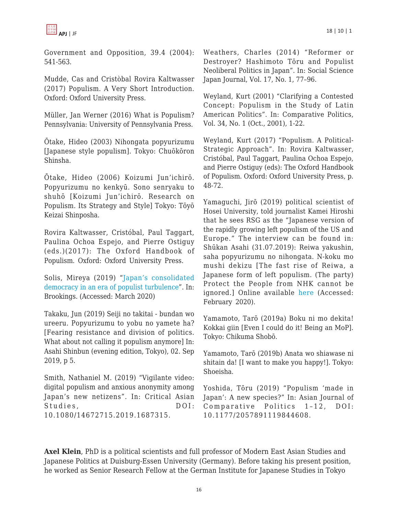

Government and Opposition, 39.4 (2004): 541-563.

Mudde, Cas and Cristòbal Rovira Kaltwasser (2017) Populism. A Very Short Introduction. Oxford: Oxford University Press.

Müller, Jan Werner (2016) What is Populism? Pennsylvania: University of Pennsylvania Press.

Ōtake, Hideo (2003) Nihongata popyurizumu [Japanese style populism]. Tokyo: Chuōkōron Shinsha.

Ōtake, Hideo (2006) Koizumi Jun'ichirō. Popyurizumu no kenkyū. Sono senryaku to shuhō [Koizumi Jun'ichirō. Research on Populism. Its Strategy and Style] Tokyo: Tōyō Keizai Shinposha.

Rovira Kaltwasser, Cristóbal, Paul Taggart, Paulina Ochoa Espejo, and Pierre Ostiguy (eds.)(2017): The Oxford Handbook of Populism. Oxford: Oxford University Press.

[Solis, Mireya \(2019\) "Japan's consolid](http://www.brookings.edu/research/japans-consolidated-democracy-in-an-era-of-populist-turbulence/)ated democracy in an era of populist turbulence". In: Brookings. (Accessed: March 2020)

Takaku, Jun (2019) Seiji no takitai - bundan wo ureeru. Popyurizumu to yobu no yamete ha? [Fearing resistance and division of politics. What about not calling it populism anymore] In: Asahi Shinbun (evening edition, Tokyo), 02. Sep 2019, p 5.

Smith, Nathaniel M. (2019) "Vigilante video: digital populism and anxious anonymity among Japan's new netizens". In: Critical Asian Studies. DOI: 10.1080/14672715.2019.1687315.

Weathers, Charles (2014) "Reformer or Destroyer? Hashimoto Tōru and Populist Neoliberal Politics in Japan". In: Social Science Japan Journal, Vol. 17, No. 1, 77–96.

Weyland, Kurt (2001) "Clarifying a Contested Concept: Populism in the Study of Latin American Politics". In: Comparative Politics, Vol. 34, No. 1 (Oct., 2001), 1-22.

Weyland, Kurt (2017) "Populism. A Political-Strategic Approach". In: Rovira Kaltwasser, Cristóbal, Paul Taggart, Paulina Ochoa Espejo, and Pierre Ostiguy (eds): The Oxford Handbook of Populism. Oxford: Oxford University Press, p. 48-72.

Yamaguchi, Jirō (2019) political scientist of Hosei University, told journalist Kamei Hiroshi that he sees RSG as the "Japanese version of the rapidly growing left populism of the US and Europe." The interview can be found in: Shūkan Asahi (31.07.2019): Reiwa yakushin, saha popyurizumu no nihongata. N-koku mo mushi dekizu [The fast rise of Reiwa, a Japanese form of left populism. (The party) Protect the People from NHK cannot be ignored.] Online available [here](https://dot.asahi.com/wa/2019073000040.html?page=1) (Accessed: February 2020).

Yamamoto, Tarō (2019a) Boku ni mo dekita! Kokkai giin [Even I could do it! Being an MoP]. Tokyo: Chikuma Shobō.

Yamamoto, Tarō (2019b) Anata wo shiawase ni shitain da! [I want to make you happy!]. Tokyo: Shoeisha.

Yoshida, Tōru (2019) "Populism 'made in Japan': A new species?" In: Asian Journal of Comparative Politics 1–12, DOI: 10.1177/2057891119844608.

**Axel Klein**, PhD is a political scientists and full professor of Modern East Asian Studies and Japanese Politics at Duisburg-Essen University (Germany). Before taking his present position, he worked as Senior Research Fellow at the German Institute for Japanese Studies in Tokyo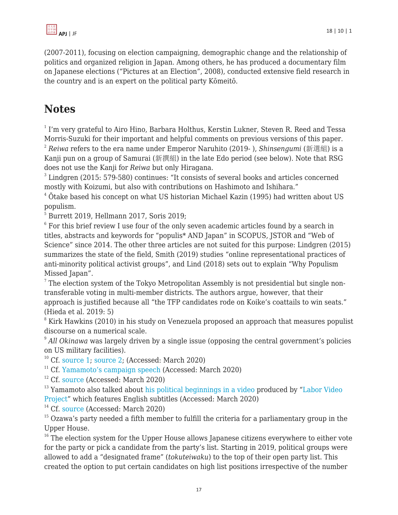

(2007-2011), focusing on election campaigning, demographic change and the relationship of politics and organized religion in Japan. Among others, he has produced a documentary film on Japanese elections ("Pictures at an Election", 2008), conducted extensive field research in the country and is an expert on the political party Kōmeitō.

# **Notes**

 $^{\rm 1}$  I'm very grateful to Airo Hino, Barbara Holthus, Kerstin Lukner, Steven R. Reed and Tessa Morris-Suzuki for their important and helpful comments on previous versions of this paper. <sup>2</sup> *Reiwa* refers to the era name under Emperor Naruhito (2019- ), *Shinsengumi* (新選組) is a Kanji pun on a group of Samurai (新撰組) in the late Edo period (see below). Note that RSG does not use the Kanji for *Reiwa* but only Hiragana.

<sup>3</sup> Lindgren (2015: 579-580) continues: "It consists of several books and articles concerned mostly with Koizumi, but also with contributions on Hashimoto and Ishihara."

<sup>4</sup> Ōtake based his concept on what US historian Michael Kazin (1995) had written about US populism.

5 Burrett 2019, Hellmann 2017, Soris 2019;

 $6$  For this brief review I use four of the only seven academic articles found by a search in titles, abstracts and keywords for "populis\* AND Japan" in SCOPUS, JSTOR and "Web of Science" since 2014. The other three articles are not suited for this purpose: Lindgren (2015) summarizes the state of the field, Smith (2019) studies "online representational practices of anti-minority political activist groups", and Lind (2018) sets out to explain "Why Populism Missed Japan".

 $7$  The election system of the Tokyo Metropolitan Assembly is not presidential but single nontransferable voting in multi-member districts. The authors argue, however, that their approach is justified because all "the TFP candidates rode on Koike's coattails to win seats." (Hieda et al. 2019: 5)

 $8$  Kirk Hawkins (2010) in his study on Venezuela proposed an approach that measures populist discourse on a numerical scale.

9 *All Okinawa* was largely driven by a single issue (opposing the central government's policies on US military facilities).

 $10$  Cf. [source 1;](http://www.huffingtonpost.jp/entry/story_jp_5d4241f9e4b0aca34118407d) [source 2](http://www.businessinsider.jp/post-195851); (Accessed: March 2020)

<sup>11</sup> Cf. [Yamamoto's campaign speech](https://www.youtube.com/watch?v=Xeya4qBPuck) (Accessed: March 2020)

 $12$  Cf. [source](http://www.taro-yamamoto.jp/profile) (Accessed: March 2020)

 $13$  Yamamoto also talked about [his political beginnings in a video](http://www.youtube.com/watch?v=) produced by "[Labor Video](http://www.laborvideo.org)" [Project"](http://www.laborvideo.org) which features English subtitles (Accessed: March 2020)

<sup>14</sup> Cf. [source](http://www.asahi.com/senkyo/senkyo2013/kaihyo/B13.html) (Accessed: March 2020)

<sup>15</sup> Ozawa's party needed a fifth member to fulfill the criteria for a parliamentary group in the Upper House.

 $16$ <sup>16</sup> The election system for the Upper House allows Japanese citizens everywhere to either vote for the party or pick a candidate from the party's list. Starting in 2019, political groups were allowed to add a "designated frame" (*tokuteiwaku*) to the top of their open party list. This created the option to put certain candidates on high list positions irrespective of the number